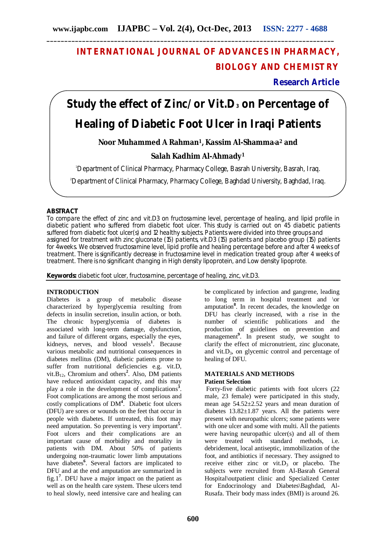## **INTERNATIONAL JOURNAL OF ADVANCES IN PHARMACY, BIOLOGY AND CHEMISTRY**

**Research Article**

# **Study the effect of Zinc/or Vit.D<sup>3</sup> on Percentage of Healing of Diabetic Foot Ulcer in Iraqi Patients**

**Noor Muhammed A Rahman1, Kassim Al-Shamma,a<sup>2</sup> and**

### **Salah Kadhim Al-Ahmady<sup>1</sup>**

<sup>1</sup>Department of Clinical Pharmacy, Pharmacy College, Basrah University, Basrah, Iraq.

2Department of Clinical Pharmacy, Pharmacy College, Baghdad University, Baghdad, Iraq.

#### **ABSTRACT**

To compare the effect of zinc and vit.D3 on fructosamine level, percentage of healing, and lipid profile in diabetic patient who suffered from diabetic foot ulcer. This study is carried out on 45 diabetic patients suffered from diabetic foot ulcer(s) and 12 healthy subjects. Patients were divided into three groups and assigned for treatment with zinc gluconate (15) patients, vit.D3 (15) patients and placebo group (15) patients for 4weeks. We observed fructosamine level, lipid profile and healing percentage before and after 4 weeks of treatment. There is significantly decrease in fructosamine level in medication treated group after 4 weeks of treatment. There is no significant changing in High density lipoprotein, and Low density lipoprote.

**Keywords:** diabetic foot ulcer, fructosamine, percentage of healing, zinc, vit.D3.

#### **INTRODUCTION**

Diabetes is a group of metabolic disease characterized by hyperglycemia resulting from defects in insulin secretion, insulin action, or both. The chronic hyperglycemia of diabetes is associated with long-term damage, dysfunction, and failure of different organs, especially the eyes, kidneys, nerves, and blood vessels**<sup>1</sup>** . Because various metabolic and nutritional consequences in diabetes mellitus (DM), diabetic patients prone to suffer from nutritional deficiencies e.g. vit.D, vit.B12, Chromium and others**<sup>2</sup>** . Also, DM patients have reduced antioxidant capacity, and this may play a role in the development of complications**<sup>3</sup>** . Foot complications are among the most serious and costly complications of DM**<sup>4</sup>** . Diabetic foot ulcers (DFU) are sores or wounds on the feet that occur in people with diabetes. If untreated, this foot may need amputation. So preventing is very important<sup>5</sup>. Foot ulcers and their complications are an important cause of morbidity and mortality in patients with DM. About 50% of patients undergoing non-traumatic lower limb amputations have diabetes**<sup>6</sup>** . Several factors are implicated to DFU and at the end amputation are summarized in fig.1**<sup>7</sup>** . DFU have a major impact on the patient as well as on the health care system. These ulcers tend to heal slowly, need intensive care and healing can

be complicated by infection and gangrene, leading to long term in hospital treatment and \or amputation**<sup>8</sup>** . In recent decades, the knowledge on DFU has clearly increased, with a rise in the number of scientific publications and the production of guidelines on prevention and management**<sup>9</sup>** . In present study, we sought to clarify the effect of micronutrient, zinc gluconate, and vit. $D_3$ , on glycemic control and percentage of healing of DFU.

#### **MATERIALS AND METHODS Patient Selection**

Forty-five diabetic patients with foot ulcers (22 male, 23 female) were participated in this study, mean age  $54.52 \pm 2.52$  years and mean duration of diabetes  $13.82 \pm 1.87$  years. All the patients were present with neuropathic ulcers; some patients were with one ulcer and some with multi. All the patients were having neuropathic ulcer(s) and all of them were treated with standard methods, i.e. debridement, local antiseptic, immobilization of the foot, and antibiotics if necessary. They assigned to receive either zinc or vit. $D_3$  or placebo. The subjects were recruited from Al-Basrah General Hospital\outpatient clinic and Specialized Center for Endocrinology and Diabetes\Baghdad, Al-Rusafa. Their body mass index (BMI) is around 26.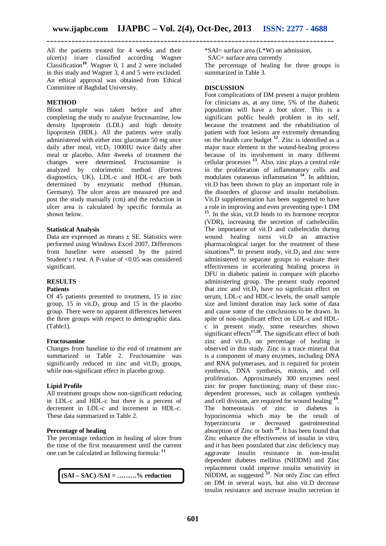All the patients treated for 4 weeks and their ulcer(s) is\are classified according Wagner Classification**<sup>10</sup>** . Wagner 0, 1 and 2 were included in this study and Wagner 3, 4 and 5 were excluded. An ethical approval was obtained from Ethical Committee of Baghdad University.

#### **METHOD**

Blood sample was taken before and after completing the study to analyze fructosamine, low density lipoprotein (LDL) and high density lipoprotein (HDL). All the patients were orally administered with either zinc gluconate 50 mg once daily after meal, vit. $D_3$  1000IU twice daily after meal or placebo. After 4weeks of treatment the changes were determined. Fructosamine is analyzed by colorimetric method (Fortress diagnostics, UK), LDL-c and HDL-c are both determined by enzymatic method (Human, Germany). The ulcer areas are measured pre and post the study manually (cm) and the reduction in ulcer area is calculated by specific formula as shown below.

#### **Statistical Analysis**

Data are expressed as means  $\pm$  SE. Statistics were performed using Windows Excel 2007. Differences from baseline were assessed by the paired Student's *t* test. A P-value of <0.05 was considered significant.

#### **RESULTS**

#### **Patients**

Of 45 patients presented to treatment, 15 in zinc group,  $15$  in vit. D<sub>3</sub> group and  $15$  in the placebo group. There were no apparent differences between the three groups with respect to demographic data. (Table1).

#### **Fructosamine**

Changes from baseline to the end of treatment are summarized in Table 2. Fructosamine was significantly reduced in zinc and vit. $D_3$  groups, while non-significant effect in placebo group.

#### **Lipid Profile**

All treatment groups show non-significant reducing in LDL-c and HDL-c but there is a percent of decrement in LDL-c and increment in HDL-c. These data summarized in Table 2.

#### **Percentage of healing**

The percentage reduction in healing of ulcer from the time of the first measurement until the current one can be calculated as following formula: **<sup>11</sup>**

**(SAI – SAC) /SAI = ………% reduction** 

\*SAI= surface area (L\*W) on admission,

SAC= surface area currently

The percentage of healing for three groups is summarized in Table 3.

#### **DISCUSSION**

Foot complications of DM present a major problem for clinicians as, at any time, 5% of the diabetic population will have a foot ulcer. This is a significant public health problem in its self, because the treatment and the rehabilitation of patient with foot lesions are extremely demanding on the health care budget **<sup>12</sup>** . Zinc is identified as a major trace element in the wound-healing process because of its involvement in many different cellular processes **<sup>13</sup>** . Also, zinc plays a central role in the proliferation of inflammatory cells and modulates cutaneous inflammation **<sup>14</sup>** . In addition, vit.D has been shown to play an important role in the disorders of glucose and insulin metabolism. Vit.D supplementation has been suggested to have a role in improving and even preventing type-1 DM **15** . In the skin, vit.D binds to its hormone receptor (VDR), increasing the secretion of cathelecidin. The importance of vit.D and cathelecidin during wound healing turns vit.D an attractive pharmacological target for the treatment of these situations<sup>16</sup>. In present study, vit.  $D_3$  and zinc were administered to separate groups to evaluate their effectiveness in accelerating healing process in DFU in diabetic patient in compare with placebo administering group. The present study reported that zinc and vit. $D_3$  have no significant effect on serum, LDL-c and HDL-c levels, the small sample size and limited duration may lack some of data and cause some of the conclusions to be drawn. In spite of non-significant effect on LDL-c and HDLc in present study, some researches shown significant effects**17,18** . The significant effect of both zinc and vit. $D_3$  on percentage of healing is observed in this study. Zinc is a trace mineral that is a component of many enzymes, including DNA and RNA polymerases, and is required for protein synthesis, DNA synthesis, mitosis, and cell proliferation. Approximately 300 enzymes need zinc for proper functioning; many of these zincdependent processes, such as collagen synthesis and cell division, are required for wound healing **<sup>19</sup>** . The homeostasis of zinc in diabetes is hypozincemia which may be the result of hyperzincuria or decreased gastrointestinal absorption of Zinc or both **<sup>20</sup>**. It has been found that Zinc enhance the effectiveness of insulin in vitro, and it has been postulated that zinc deficiency may aggravate insulin resistance in non-insulin dependent diabetes mellitus (NIDDM) and Zinc replacement could improve insulin sensitivity in NIDDM, as suggested **<sup>21</sup>**. Not only Zinc can effect on DM in several ways, but also vit.D decrease insulin resistance and increase insulin secretion in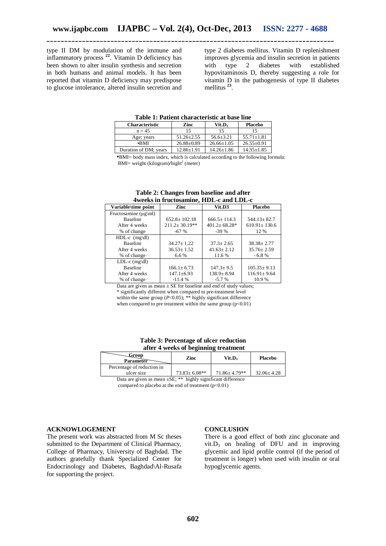type II DM by modulation of the immune and inflammatory process **<sup>22</sup>** . Vitamin D deficiency has been shown to alter insulin synthesis and secretion in both humans and animal models. It has been reported that vitamin D deficiency may predispose to glucose intolerance, altered insulin secretion and

type 2 diabetes mellitus. Vitamin D replenishment improves glycemia and insulin secretion in patients with type 2 diabetes with established hypovitaminosis D, thereby suggesting a role for vitamin D in the pathogenesis of type II diabetes mellitus **<sup>23</sup>** .

**Table 1: Patient characteristic at base line**

| <b>Characteristic</b> | Zinc             | $V$ it.D <sub>3</sub> | <b>Placebo</b>   |
|-----------------------|------------------|-----------------------|------------------|
| $n = 45$              |                  | 15                    |                  |
| Age; years            | $51.26 + 2.55$   | $56.6 \pm 3.21$       | $55.71 + 1.81$   |
| -BMI                  | $26.88 \pm 0.89$ | $26.66 \pm 1.05$      | $26.55 \pm 0.91$ |
| Duration of DM; years | $12.86 \pm 1.91$ | $14.26 \pm 1.86$      | $14.35 \pm 1.85$ |

▪BMI= body mass index, which is calculated according to the following formula: BMI= weight (kilogram)/hight<sup>2</sup> (meter)

| Aweeks in mucrosaling, HDL-C and LDL-C |                      |                                |                    |  |  |  |
|----------------------------------------|----------------------|--------------------------------|--------------------|--|--|--|
| Variable\time point                    | Zinc                 | Vit.D3                         | <b>Placebo</b>     |  |  |  |
| Fructosamine ( $\mu$ g\ml)             |                      |                                |                    |  |  |  |
| <b>Baseline</b>                        | $652.8 \pm 102.18$   | $666.5 \pm 114.3$              | $544.13 \pm 82.7$  |  |  |  |
| After 4 weeks                          | $211.2 \pm 30.19$ ** | $401.2 \pm 68.28$ <sup>*</sup> | $610.91 \pm 130.6$ |  |  |  |
| % of change                            | $-67%$               | $-39%$                         | 12 %               |  |  |  |
| HDL-c $(mg\ddot{dl})$                  |                      |                                |                    |  |  |  |
| <b>Baseline</b>                        | $34.27 + 1.22$       | $37.3 \pm 2.65$                | $38.38 \pm 2.77$   |  |  |  |
| After 4 weeks                          | $36.53 \pm 1.52$     | $41.63 + 2.12$                 | $35.76 \pm 2.59$   |  |  |  |
| % of change                            | 6.6 %                | 11.6 %                         | $-6.8%$            |  |  |  |
| LDL-c $(mg\ddot{dl})$                  |                      |                                |                    |  |  |  |
| <b>Baseline</b>                        | $166.1 \pm 6.73$     | $147.3 \pm 9.5$                | $105.35 \pm 9.13$  |  |  |  |
| After 4 weeks                          | $147.1 \pm 6.93$     | $138.9 \pm 8.94$               | $116.91 \pm 9.64$  |  |  |  |
| % of change                            | $-11.4%$             | $-5.7%$                        | 10.9%              |  |  |  |

#### **Table 2: Changes from baseline and after 4weeks in fructosamine, HDL-c and LDL-c**

Data are given as mean  $\pm$  SE for baseline and end of study values; \* significantly different when compared to pre-treatment level within the same group (*P*<0.05); \*\* highly significant difference when compared to pre treatment within the same group  $(p<0.01)$ 

| Table 3: Percentage of ulcer reduction |
|----------------------------------------|
| after 4 weeks of beginning treatment   |

| Group<br>Parameter                       | Zinc               | $V$ it.D $\alpha$   | <b>Placebo</b>   |
|------------------------------------------|--------------------|---------------------|------------------|
| Percentage of reduction in<br>ulcer size | $73.83 \pm 6.08**$ | $71.86 \pm 4.79$ ** | $32.06 \pm 4.28$ |

Data are given as mean ±SE; \*\* highly significant difference compared to placebo at the end of treatment  $(p<0.01)$ 

#### **ACKNOWLOGEMENT**

The present work was abstracted from M Sc theses submitted to the Department of Clinical Pharmacy, College of Pharmacy, University of Baghdad. The authors gratefully thank Specialized Center for Endocrinology and Diabetes, Baghdad\Al-Rusafa for supporting the project.

#### **CONCLUSION**

There is a good effect of both zinc gluconate and vit.  $D_3$  on healing of DFU and in improving glycemic and lipid profile control (if the period of treatment is longer) when used with insulin or oral hypoglycemic agents.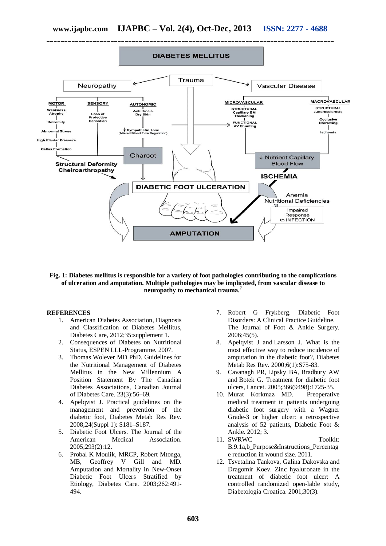

#### **Fig. 1: Diabetes mellitus is responsible for a variety of foot pathologies contributing to the complications of ulceration and amputation. Multiple pathologies may be implicated, from vascular disease to neuropathy to mechanical trauma.<sup>7</sup>**

#### **REFERENCES**

- 1. American Diabetes Association, Diagnosis and Classification of Diabetes Mellitus, Diabetes Care, 2012;35:supplement 1.
- 2. Consequences of Diabetes on Nutritional Status, ESPEN LLL-Programme. 2007.
- 3. Thomas Wolever MD PhD. Guidelines for the Nutritional Management of Diabetes Mellitus in the New Millennium A Position Statement By The Canadian Diabetes Associations, Canadian Journal of Diabetes Care. 23(3):56–69.
- 4. Apelqvist J. Practical guidelines on the management and prevention of the diabetic foot, Diabetes Metab Res Rev. 2008;24(Suppl 1): S181–S187.
- 5. Diabetic Foot Ulcers. The Journal of the American Medical Association. Association 2005;293(2):12.
- 6. Probal K Moulik, MRCP, Robert Mtonga, MB, Geoffrey V Gill and MD. Amputation and Mortality in New-Onset Diabetic Foot Ulcers Stratified by Etiology, Diabetes Care. 2003;262:491- 494.
- 7. Robert G Frykberg. Diabetic Foot Disorders: A Clinical Practice Guideline. The Journal of Foot & Ankle Surgery. 2006;45(5).
- 8. Apelqvist J and Larsson J. What is the most effective way to reduce incidence of amputation in the diabetic foot?, Diabetes Metab Res Rev. 2000;6(1):S75-83.
- 9. Cavanagh PR, Lipsky BA, Bradbury AW and Botek G. Treatment for diabetic foot ulcers, Lancet. 2005;366(9498):1725-35.
- 10. Murat Korkmaz MD. Preoperative medical treatment in patients undergoing diabetic foot surgery with a Wagner Grade-3 or higher ulcer: a retrospective analysis of 52 patients, Diabetic Foot & Ankle. 2012; 3.
- 11. SWRWC Toolkit: B.9.1a,b\_Purpose&Instructions\_Percentag e reduction in wound size. 2011.
- 12. Tsvetalina Tankova, Galina Dakovska and Dragomir Koev. Zinc hyaluronate in the treatment of diabetic foot ulcer: A controlled randomized open-lable study, Diabetologia Croatica. 2001;30(3).